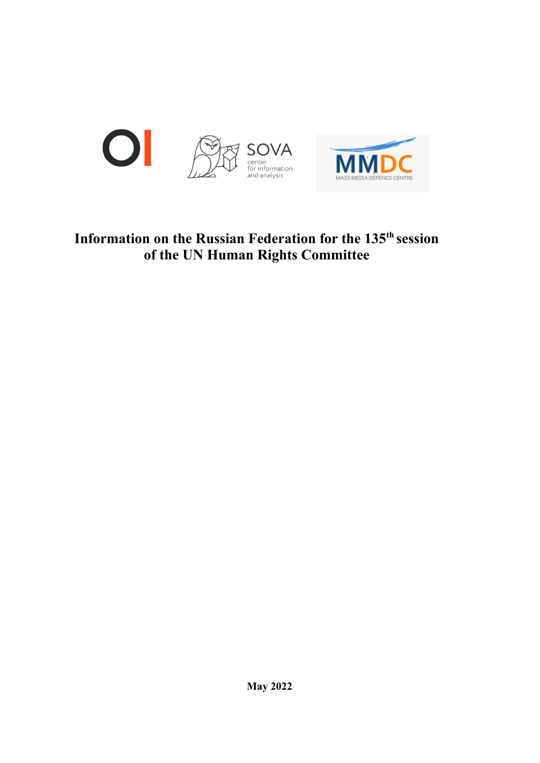

# **Information on the Russian Federation for the 135 th session of the UN Human Rights Committee**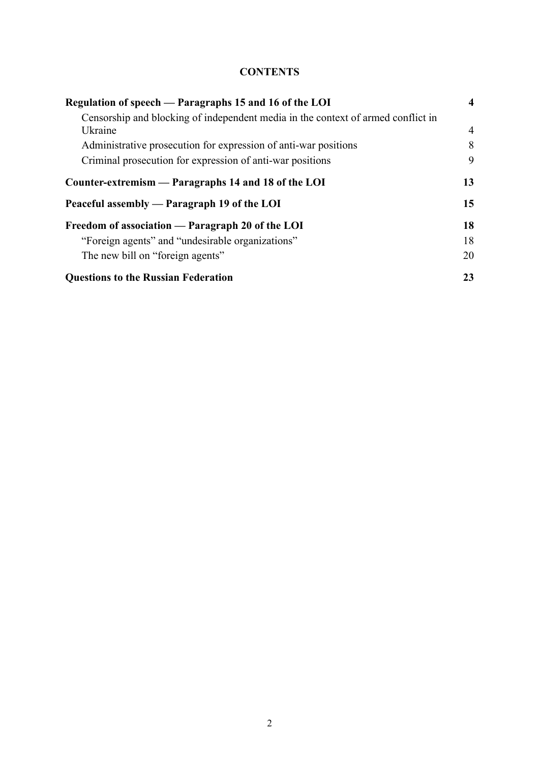# **CONTENTS**

| Regulation of speech — Paragraphs 15 and 16 of the LOI                           | 4              |
|----------------------------------------------------------------------------------|----------------|
| Censorship and blocking of independent media in the context of armed conflict in |                |
| Ukraine                                                                          | $\overline{4}$ |
| Administrative prosecution for expression of anti-war positions                  | 8              |
| Criminal prosecution for expression of anti-war positions                        | 9              |
| Counter-extremism — Paragraphs 14 and 18 of the LOI                              | 13             |
| Peaceful assembly — Paragraph 19 of the LOI                                      | 15             |
| Freedom of association — Paragraph 20 of the LOI                                 | 18             |
| "Foreign agents" and "undesirable organizations"                                 | 18             |
| The new bill on "foreign agents"                                                 | 20             |
| <b>Questions to the Russian Federation</b>                                       | 23             |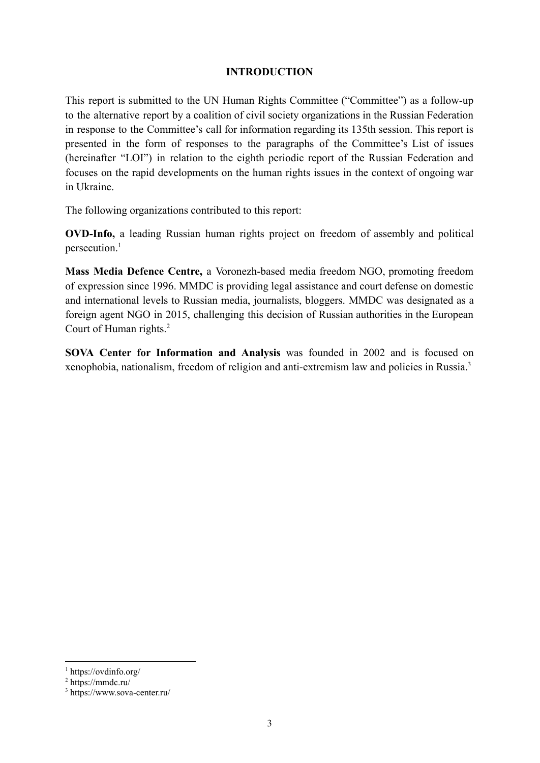#### **INTRODUCTION**

This report is submitted to the UN Human Rights Committee ("Committee") as a follow-up to the alternative report by a coalition of civil society organizations in the Russian Federation in response to the Committee's call for information regarding its 135th session. This report is presented in the form of responses to the paragraphs of the Committee's List of issues (hereinafter "LOI") in relation to the eighth periodic report of the Russian Federation and focuses on the rapid developments on the human rights issues in the context of ongoing war in Ukraine.

The following organizations contributed to this report:

**OVD-Info,** a leading Russian human rights project on freedom of assembly and political persecution.<sup>1</sup>

**Mass Media Defence Centre,** a Voronezh-based media freedom NGO, promoting freedom of expression since 1996. MMDC is providing legal assistance and court defense on domestic and international levels to Russian media, journalists, bloggers. MMDC was designated as a foreign agent NGO in 2015, challenging this decision of Russian authorities in the European Court of Human rights.<sup>2</sup>

**SOVA Center for Information and Analysis** was founded in 2002 and is focused on xenophobia, nationalism, freedom of religion and anti-extremism law and policies in Russia.<sup>3</sup>

<sup>1</sup> https://ovdinfo.org/

 $2 \text{ https://mmdc.ru/}$ 

<sup>3</sup> https://www.sova-center.ru/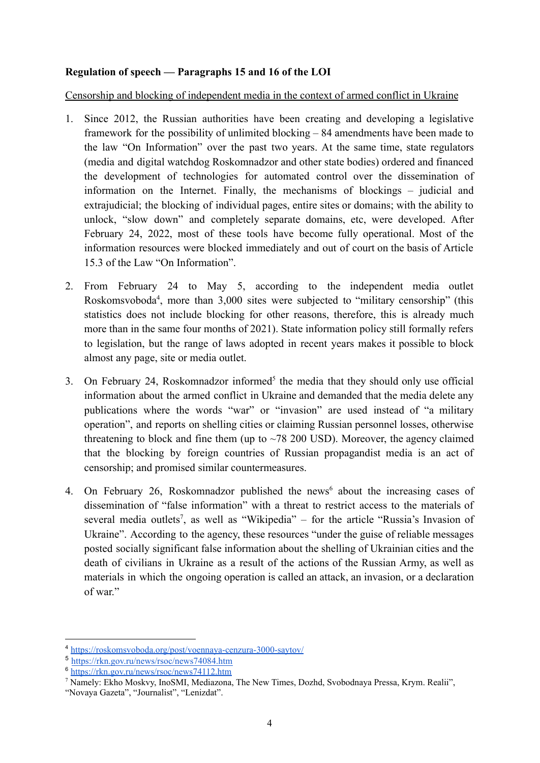#### <span id="page-3-0"></span>**Regulation of speech — Paragraphs 15 and 16 of the LOI**

<span id="page-3-1"></span>Censorship and blocking of independent media in the context of armed conflict in Ukraine

- 1. Since 2012, the Russian authorities have been creating and developing a legislative framework for the possibility of unlimited blocking – 84 amendments have been made to the law "On Information" over the past two years. At the same time, state regulators (media and digital watchdog Roskomnadzor and other state bodies) ordered and financed the development of technologies for automated control over the dissemination of information on the Internet. Finally, the mechanisms of blockings – judicial and extrajudicial; the blocking of individual pages, entire sites or domains; with the ability to unlock, "slow down" and completely separate domains, etc, were developed. After February 24, 2022, most of these tools have become fully operational. Most of the information resources were blocked immediately and out of court on the basis of Article 15.3 of the Law "On Information".
- 2. From February 24 to May 5, according to the independent media outlet Roskomsvoboda<sup>4</sup>, more than 3,000 sites were subjected to "military censorship" (this statistics does not include blocking for other reasons, therefore, this is already much more than in the same four months of 2021). State information policy still formally refers to legislation, but the range of laws adopted in recent years makes it possible to block almost any page, site or media outlet.
- 3. On February 24, Roskomnadzor informed<sup>5</sup> the media that they should only use official information about the armed conflict in Ukraine and demanded that the media delete any publications where the words "war" or "invasion" are used instead of "a military operation", and reports on shelling cities or claiming Russian personnel losses, otherwise threatening to block and fine them (up to  $\sim$  78 200 USD). Moreover, the agency claimed that the blocking by foreign countries of Russian propagandist media is an act of censorship; and promised similar countermeasures.
- 4. On February 26, Roskomnadzor published the news<sup>6</sup> about the increasing cases of dissemination of "false information" with a threat to restrict access to the materials of several media outlets<sup>7</sup>, as well as "Wikipedia" – for the article "Russia's Invasion of Ukraine". According to the agency, these resources "under the guise of reliable messages posted socially significant false information about the shelling of Ukrainian cities and the death of civilians in Ukraine as a result of the actions of the Russian Army, as well as materials in which the ongoing operation is called an attack, an invasion, or a declaration of war."

<sup>4</sup> <https://roskomsvoboda.org/post/voennaya-cenzura-3000-saytov/>

<sup>5</sup> [https://rkn.gov.ru/news/rsoc/news74084.htm](https://rkn.gov.ru/news/rsoc/news74084.htm?utm_source=google.com&utm_medium=organic&utm_campaign=google.com&utm_referrer=google.com)

 $6 \frac{\text{m}^2}{\text{https://rkn.gov.ry/news/rsoc/news74112.htm}}$ 

<sup>7</sup> Namely: Ekho Moskvy, InoSMI, Mediazona, The New Times, Dozhd, Svobodnaya Pressa, Krym. Realii",

<sup>&</sup>quot;Novaya Gazeta", "Journalist", "Lenizdat".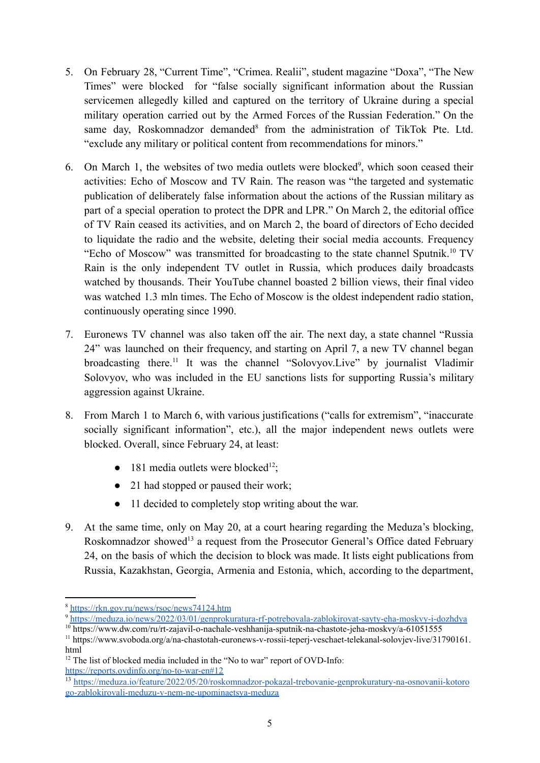- 5. On February 28, "Current Time", "Crimea. Realii", student magazine "Doxa", "The New Times" were blocked for "false socially significant information about the Russian servicemen allegedly killed and captured on the territory of Ukraine during a special military operation carried out by the Armed Forces of the Russian Federation." On the same day, Roskomnadzor demanded<sup>8</sup> from the administration of TikTok Pte. Ltd. "exclude any military or political content from recommendations for minors."
- 6. On March 1, the websites of two media outlets were blocked<sup>9</sup>, which soon ceased their activities: Echo of Moscow and TV Rain. The reason was "the targeted and systematic publication of deliberately false information about the actions of the Russian military as part of a special operation to protect the DPR and LPR." On March 2, the editorial office of TV Rain ceased its activities, and on March 2, the board of directors of Echo decided to liquidate the radio and the website, deleting their social media accounts. Frequency "Echo of Moscow" was [transmitted](https://www.dw.com/ru/rt-zajavil-o-nachale-veshhanija-sputnik-na-chastote-jeha-moskvy/a-61051555) for broadcasting to the state channel Sputnik.<sup>10</sup> TV Rain is the only independent TV outlet in Russia, which produces daily broadcasts watched by thousands. Their YouTube channel boasted 2 billion views, their final video was watched 1.3 mln times. The Echo of Moscow is the oldest independent radio station, continuously operating since 1990.
- 7. Euronews TV channel was also taken off the air. The next day, a state channel "Russia 24" was launched on their frequency, and starting on April 7, a new TV channel began broadcasting there.<sup>11</sup> It was the channel "Solovyov.Live" by journalist Vladimir Solovyov, who was included in the EU sanctions lists for supporting Russia's military aggression against Ukraine.
- 8. From March 1 to March 6, with various justifications ("calls for extremism", "inaccurate socially significant information", etc.), all the major independent news outlets were blocked. Overall, since February 24, at least:
	- $\bullet$  181 media outlets were blocked<sup>12</sup>;
	- 21 had stopped or paused their work;
	- 11 decided to completely stop writing about the war.
- 9. At the same time, only on May 20, at a court hearing regarding the Meduza's blocking, Roskomnadzor showed<sup>13</sup> a request from the Prosecutor General's Office dated February 24, on the basis of which the decision to block was made. It lists eight publications from Russia, Kazakhstan, Georgia, Armenia and Estonia, which, according to the department,

<sup>8</sup> <https://rkn.gov.ru/news/rsoc/news74124.htm>

<sup>9</sup> <https://meduza.io/news/2022/03/01/genprokuratura-rf-potrebovala-zablokirovat-sayty-eha-moskvy-i-dozhdya>

<sup>&</sup>lt;sup>10</sup> https://www.dw.com/ru/rt-zajavil-o-nachale-veshhanija-sputnik-na-chastote-jeha-moskvy/a-61051555

<sup>11</sup> https://www.svoboda.org/a/na-chastotah-euronews-v-rossii-teperj-veschaet-telekanal-solovjev-live/31790161. html

 $12$  The list of blocked media included in the "No to war" report of OVD-Info: <https://reports.ovdinfo.org/no-to-war-en#12>

<sup>13</sup> [https://meduza.io/feature/2022/05/20/roskomnadzor-pokazal-trebovanie-genprokuratury-na-osnovanii-kotoro](https://meduza.io/feature/2022/05/20/roskomnadzor-pokazal-trebovanie-genprokuratury-na-osnovanii-kotorogo-zablokirovali-meduzu-v-nem-ne-upominaetsya-meduza) [go-zablokirovali-meduzu-v-nem-ne-upominaetsya-meduza](https://meduza.io/feature/2022/05/20/roskomnadzor-pokazal-trebovanie-genprokuratury-na-osnovanii-kotorogo-zablokirovali-meduzu-v-nem-ne-upominaetsya-meduza)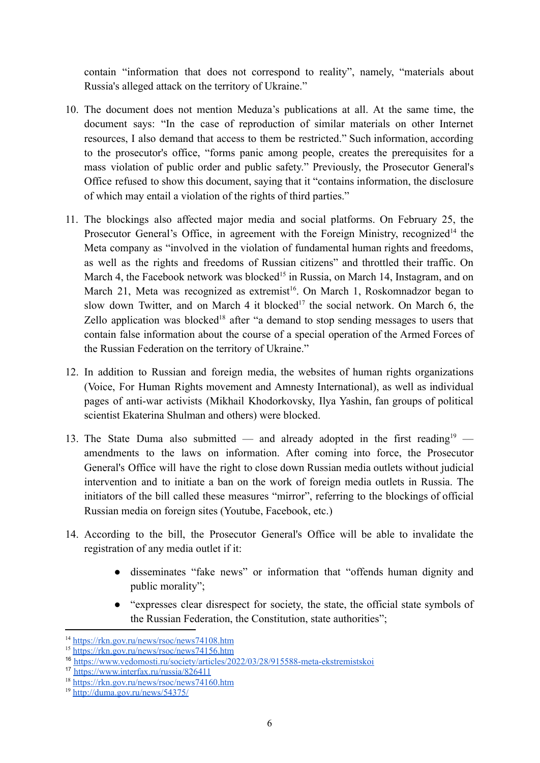contain "information that does not correspond to reality", namely, "materials about Russia's alleged attack on the territory of Ukraine."

- 10. The document does not mention Meduza's publications at all. At the same time, the document says: "In the case of reproduction of similar materials on other Internet resources, I also demand that access to them be restricted." Such information, according to the prosecutor's office, "forms panic among people, creates the prerequisites for a mass violation of public order and public safety." Previously, the Prosecutor General's Office refused to show this document, saying that it "contains information, the disclosure of which may entail a violation of the rights of third parties."
- 11. The blockings also affected major media and social platforms. On February 25, the Prosecutor General's Office, in agreement with the Foreign Ministry, recognized<sup>14</sup> the Meta company as "involved in the violation of fundamental human rights and freedoms, as well as the rights and freedoms of Russian citizens" and throttled their traffic. On March 4, the Facebook network was blocked<sup>15</sup> in Russia, on March 14, Instagram, and on March 21, Meta was recognized as extremist<sup>16</sup>. On March 1, Roskomnadzor began to slow down Twitter, and on March 4 it blocked<sup>17</sup> the social network. On March 6, the Zello application was blocked<sup>18</sup> after "a demand to stop sending messages to users that contain false information about the course of a special operation of the Armed Forces of the Russian Federation on the territory of Ukraine."
- 12. In addition to Russian and foreign media, the websites of human rights organizations (Voice, For Human Rights movement and Amnesty International), as well as individual pages of anti-war activists (Mikhail Khodorkovsky, Ilya Yashin, fan groups of political scientist Ekaterina Shulman and others) were blocked.
- 13. The State Duma also submitted and already adopted in the first reading<sup>19</sup> amendments to the laws on information. After coming into force, the Prosecutor General's Office will have the right to close down Russian media outlets without judicial intervention and to initiate a ban on the work of foreign media outlets in Russia. The initiators of the bill called these measures "mirror", referring to the blockings of official Russian media on foreign sites (Youtube, Facebook, etc.)
- 14. According to the bill, the Prosecutor General's Office will be able to invalidate the registration of any media outlet if it:
	- disseminates "fake news" or information that "offends human dignity and public morality";
	- "expresses clear disrespect for society, the state, the official state symbols of the Russian Federation, the Constitution, state authorities";

<sup>14</sup> <https://rkn.gov.ru/news/rsoc/news74108.htm>

<sup>15</sup> <https://rkn.gov.ru/news/rsoc/news74156.htm>

<sup>16</sup> <https://www.vedomosti.ru/society/articles/2022/03/28/915588-meta-ekstremistskoi>

<sup>17</sup> <https://www.interfax.ru/russia/826411>

<sup>18</sup> <https://rkn.gov.ru/news/rsoc/news74160.htm>

<sup>19</sup> <http://duma.gov.ru/news/54375/>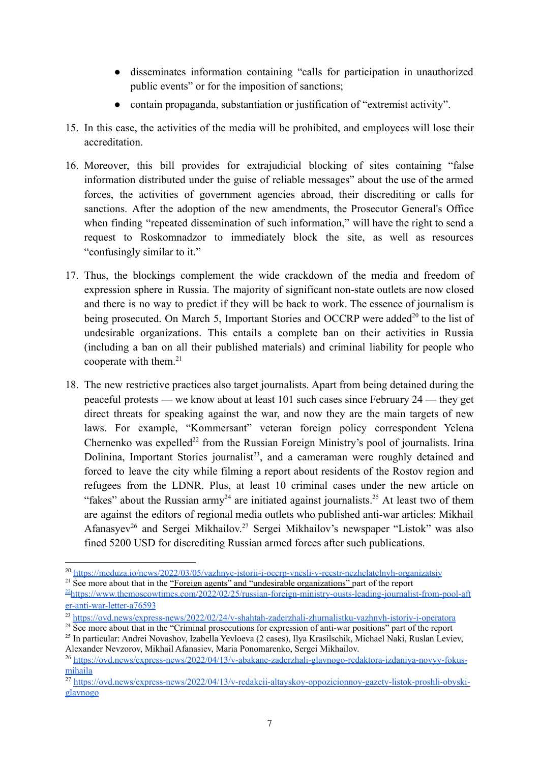- disseminates information containing "calls for participation in unauthorized public events" or for the imposition of sanctions;
- contain propaganda, substantiation or justification of "extremist activity".
- 15. In this case, the activities of the media will be prohibited, and employees will lose their accreditation.
- 16. Moreover, this bill provides for extrajudicial blocking of sites containing "false information distributed under the guise of reliable messages" about the use of the armed forces, the activities of government agencies abroad, their discrediting or calls for sanctions. After the adoption of the new amendments, the Prosecutor General's Office when finding "repeated dissemination of such information," will have the right to send a request to Roskomnadzor to immediately block the site, as well as resources "confusingly similar to it."
- 17. Thus, the blockings complement the wide crackdown of the media and freedom of expression sphere in Russia. The majority of significant non-state outlets are now closed and there is no way to predict if they will be back to work. The essence of journalism is being prosecuted. On March 5, Important Stories and OCCRP were added<sup>20</sup> to the list of undesirable organizations. This entails a complete ban on their activities in Russia (including a ban on all their published materials) and criminal liability for people who cooperate with them.<sup>21</sup>
- 18. The new restrictive practices also target journalists. Apart from being detained during the peaceful protests — we know about at least 101 such cases since February 24 — they get direct threats for speaking against the war, and now they are the main targets of new laws. For example, "Kommersant" veteran foreign policy correspondent Yelena Chernenko was expelled<sup>22</sup> from the Russian Foreign Ministry's pool of journalists. Irina Dolinina, Important Stories journalist<sup>23</sup>, and a cameraman were roughly detained and forced to leave the city while filming a report about residents of the Rostov region and refugees from the LDNR. Plus, at least 10 criminal cases under the new article on "fakes" about the Russian army<sup>24</sup> are initiated against journalists.<sup>25</sup> At least two of them are against the editors of regional media outlets who published anti-war articles: Mikhail Afanasyev<sup>26</sup> and Sergei Mikhailov.<sup>27</sup> Sergei Mikhailov's newspaper "Listok" was also fined 5200 USD for discrediting Russian armed forces after such publications.

<sup>20</sup> <https://meduza.io/news/2022/03/05/vazhnye-istorii-i-occrp-vnesli-v-reestr-nezhelatelnyh-organizatsiy>

<sup>&</sup>lt;sup>21</sup> See more about that in the "Foreign agents" and "undesirable organizations" part of the report

<sup>22</sup>[https://www.themoscowtimes.com/2022/02/25/russian-foreign-ministry-ousts-leading-journalist-from-pool-aft](https://www.themoscowtimes.com/2022/02/25/russian-foreign-ministry-ousts-leading-journalist-from-pool-after-anti-war-letter-a76593) [er-anti-war-letter-a76593](https://www.themoscowtimes.com/2022/02/25/russian-foreign-ministry-ousts-leading-journalist-from-pool-after-anti-war-letter-a76593)

<sup>23</sup> <https://ovd.news/express-news/2022/02/24/v-shahtah-zaderzhali-zhurnalistku-vazhnyh-istoriy-i-operatora>

<sup>25</sup> In particular: Andrei Novashov, Izabella Yevloeva (2 cases), Ilya Krasilschik, Michael Naki, Ruslan Leviev, <sup>24</sup> See more about that in the "Criminal prosecutions for expression of anti-war positions" part of the report

Alexander Nevzorov, Mikhail Afanasiev, Maria Ponomarenko, Sergei Mikhailov.

<sup>26</sup> [https://ovd.news/express-news/2022/04/13/v-abakane-zaderzhali-glavnogo-redaktora-izdaniya-novyy-fokus](https://ovd.news/express-news/2022/04/13/v-abakane-zaderzhali-glavnogo-redaktora-izdaniya-novyy-fokus-mihaila)[mihaila](https://ovd.news/express-news/2022/04/13/v-abakane-zaderzhali-glavnogo-redaktora-izdaniya-novyy-fokus-mihaila)

<sup>&</sup>lt;sup>27</sup> [https://ovd.news/express-news/2022/04/13/v-redakcii-altayskoy-oppozicionnoy-gazety-listok-proshli-obyski](https://ovd.news/express-news/2022/04/13/v-redakcii-altayskoy-oppozicionnoy-gazety-listok-proshli-obyski-glavnogo)[glavnogo](https://ovd.news/express-news/2022/04/13/v-redakcii-altayskoy-oppozicionnoy-gazety-listok-proshli-obyski-glavnogo)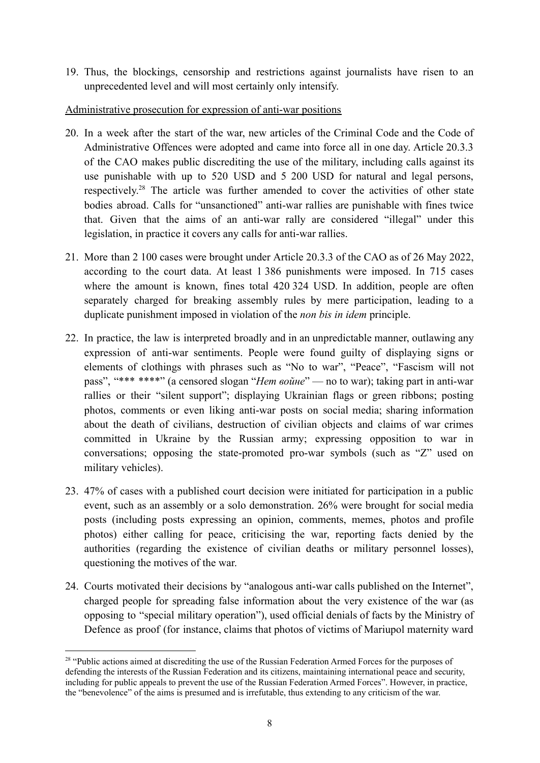19. Thus, the blockings, censorship and restrictions against journalists have risen to an unprecedented level and will most certainly only intensify.

#### <span id="page-7-0"></span>Administrative prosecution for expression of anti-war positions

- 20. In a week after the start of the war, new articles of the Criminal Code and the Code of Administrative Offences were adopted and came into force all in one day. Article 20.3.3 of the CAO makes public discrediting the use of the military, including calls against its use punishable with up to 520 USD and 5 200 USD for natural and legal persons, respectively.<sup>28</sup> The article was further amended to cover the activities of other state bodies abroad. Calls for "unsanctioned" anti-war rallies are punishable with fines twice that. Given that the aims of an anti-war rally are considered "illegal" under this legislation, in practice it covers any calls for anti-war rallies.
- 21. More than 2 100 cases were brought under Article 20.3.3 of the CAO as of 26 May 2022, according to the court data. At least 1 386 punishments were imposed. In 715 cases where the amount is known, fines total 420 324 USD. In addition, people are often separately charged for breaking assembly rules by mere participation, leading to a duplicate punishment imposed in violation of the *non bis in idem* principle.
- 22. In practice, the law is interpreted broadly and in an unpredictable manner, outlawing any expression of anti-war sentiments. People were found guilty of displaying signs or elements of clothings with phrases such as "No to war", "Peace", "Fascism will not pass", "\*\*\* \*\*\*\*" (a censored slogan "*Нет войне*" — no to war); taking part in anti-war rallies or their "silent support"; displaying Ukrainian flags or green ribbons; posting photos, comments or even liking anti-war posts on social media; sharing information about the death of civilians, destruction of civilian objects and claims of war crimes committed in Ukraine by the Russian army; expressing opposition to war in conversations; opposing the state-promoted pro-war symbols (such as "Z" used on military vehicles).
- 23. 47% of cases with a published court decision were initiated for participation in a public event, such as an assembly or a solo demonstration. 26% were brought for social media posts (including posts expressing an opinion, comments, memes, photos and profile photos) either calling for peace, criticising the war, reporting facts denied by the authorities (regarding the existence of civilian deaths or military personnel losses), questioning the motives of the war.
- 24. Courts motivated their decisions by "analogous anti-war calls published on the Internet", charged people for spreading false information about the very existence of the war (as opposing to "special military operation"), used official denials of facts by the Ministry of Defence as proof (for instance, claims that photos of victims of Mariupol maternity ward

<sup>&</sup>lt;sup>28</sup> "Public actions aimed at discrediting the use of the Russian Federation Armed Forces for the purposes of defending the interests of the Russian Federation and its citizens, maintaining international peace and security, including for public appeals to prevent the use of the Russian Federation Armed Forces". However, in practice, the "benevolence" of the aims is presumed and is irrefutable, thus extending to any criticism of the war.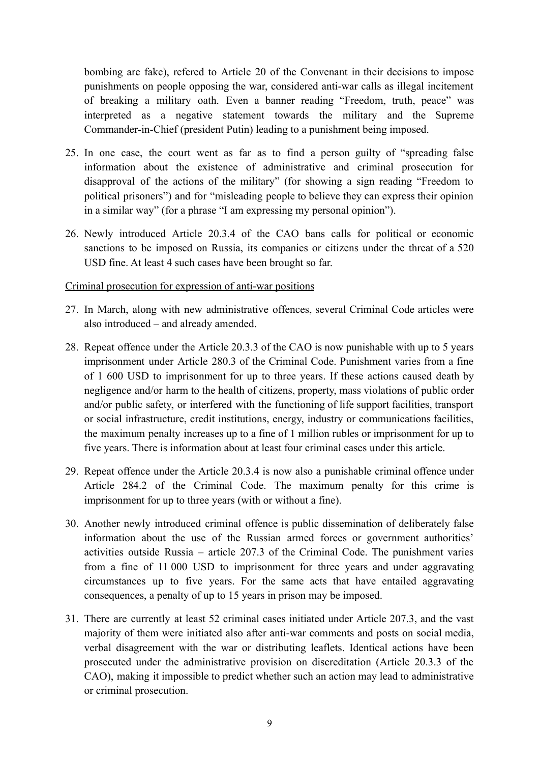bombing are fake), refered to Article 20 of the Convenant in their decisions to impose punishments on people opposing the war, considered anti-war calls as illegal incitement of breaking a military oath. Even a banner reading "Freedom, truth, peace" was interpreted as a negative statement towards the military and the Supreme Commander-in-Chief (president Putin) leading to a punishment being imposed.

- 25. In one case, the court went as far as to find a person guilty of "spreading false information about the existence of administrative and criminal prosecution for disapproval of the actions of the military" (for showing a sign reading "Freedom to political prisoners") and for "misleading people to believe they can express their opinion in a similar way" (for a phrase "I am expressing my personal opinion").
- 26. Newly introduced Article 20.3.4 of the CAO bans calls for political or economic sanctions to be imposed on Russia, its companies or citizens under the threat of a 520 USD fine. At least 4 such cases have been brought so far.

#### <span id="page-8-0"></span>Criminal prosecution for expression of anti-war positions

- 27. In March, along with new administrative offences, several Criminal Code articles were also introduced – and already amended.
- 28. Repeat offence under the Article 20.3.3 of the CAO is now punishable with up to 5 years imprisonment under Article 280.3 of the Criminal Code. Punishment varies from a fine of 1 600 USD to imprisonment for up to three years. If these actions caused death by negligence and/or harm to the health of citizens, property, mass violations of public order and/or public safety, or interfered with the functioning of life support facilities, transport or social infrastructure, credit institutions, energy, industry or communications facilities, the maximum penalty increases up to a fine of 1 million rubles or imprisonment for up to five years. There is information about at least four criminal cases under this article.
- 29. Repeat offence under the Article 20.3.4 is now also a punishable criminal offence under Article 284.2 of the Criminal Code. The maximum penalty for this crime is imprisonment for up to three years (with or without a fine).
- 30. Another newly introduced criminal offence is public dissemination of deliberately false information about the use of the Russian armed forces or government authorities' activities outside Russia – article 207.3 of the Criminal Code. The punishment varies from a fine of 11 000 USD to imprisonment for three years and under aggravating circumstances up to five years. For the same acts that have entailed aggravating consequences, a penalty of up to 15 years in prison may be imposed.
- 31. There are currently at least 52 criminal cases initiated under Article 207.3, and the vast majority of them were initiated also after anti-war comments and posts on social media, verbal disagreement with the war or distributing leaflets. Identical actions have been prosecuted under the administrative provision on discreditation (Article 20.3.3 of the CAO), making it impossible to predict whether such an action may lead to administrative or criminal prosecution.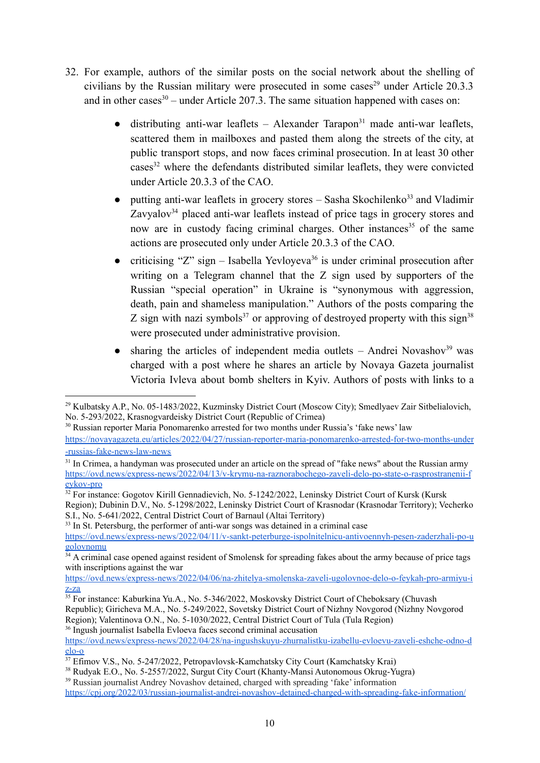- 32. For example, authors of the similar posts on the social network about the shelling of civilians by the Russian military were prosecuted in some cases<sup>29</sup> under Article  $20.3.3$ and in other cases<sup>30</sup> – under Article 207.3. The same situation happened with cases on:
	- $\bullet$  distributing anti-war leaflets Alexander Tarapon<sup>31</sup> made anti-war leaflets, scattered them in mailboxes and pasted them along the streets of the city, at public transport stops, and now faces criminal prosecution. In at least 30 other cases<sup>32</sup> where the defendants distributed similar leaflets, they were convicted under Article 20.3.3 of the CAO.
	- putting anti-war leaflets in grocery stores Sasha Skochilenko<sup>33</sup> and Vladimir Zavyalov $34$  placed anti-war leaflets instead of price tags in grocery stores and now are in custody facing criminal charges. Other instances<sup>35</sup> of the same actions are prosecuted only under Article 20.3.3 of the CAO.
	- criticising "Z" sign Isabella Yevloyeva<sup>36</sup> is under criminal prosecution after writing on a Telegram channel that the Z sign used by supporters of the Russian "special operation" in Ukraine is "synonymous with aggression, death, pain and shameless manipulation." Authors of the posts comparing the Z sign with nazi symbols<sup>37</sup> or approving of destroyed property with this sign<sup>38</sup> were prosecuted under administrative provision.
	- $\bullet$  sharing the articles of independent media outlets Andrei Novashov<sup>39</sup> was charged with a post where he shares an article by Novaya Gazeta journalist Victoria Ivleva about bomb shelters in Kyiv. Authors of posts with links to a

<sup>30</sup> Russian reporter Maria Ponomarenko arrested for two months under Russia's 'fake news' law [https://novayagazeta.eu/articles/2022/04/27/russian-reporter-maria-ponomarenko-arrested-for-two-months-under](https://novayagazeta.eu/articles/2022/04/27/russian-reporter-maria-ponomarenko-arrested-for-two-months-under-russias-fake-news-law-news) [-russias-fake-news-law-news](https://novayagazeta.eu/articles/2022/04/27/russian-reporter-maria-ponomarenko-arrested-for-two-months-under-russias-fake-news-law-news)

S.I., No. 5-641/2022, Central District Court of Barnaul (Altai Territory)

<sup>33</sup> In St. Petersburg, the performer of anti-war songs was detained in a criminal case

[https://ovd.news/express-news/2022/04/06/na-zhitelya-smolenska-zaveli-ugolovnoe-delo-o-feykah-pro-armiyu-i](https://ovd.news/express-news/2022/04/06/na-zhitelya-smolenska-zaveli-ugolovnoe-delo-o-feykah-pro-armiyu-iz-za) [z-za](https://ovd.news/express-news/2022/04/06/na-zhitelya-smolenska-zaveli-ugolovnoe-delo-o-feykah-pro-armiyu-iz-za)

<sup>36</sup> Ingush journalist Isabella Evloeva faces second criminal accusation

[https://ovd.news/express-news/2022/04/28/na-ingushskuyu-zhurnalistku-izabellu-evloevu-zaveli-eshche-odno-d](https://ovd.news/express-news/2022/04/28/na-ingushskuyu-zhurnalistku-izabellu-evloevu-zaveli-eshche-odno-delo-o) [elo-o](https://ovd.news/express-news/2022/04/28/na-ingushskuyu-zhurnalistku-izabellu-evloevu-zaveli-eshche-odno-delo-o)

<sup>&</sup>lt;sup>29</sup> Kulbatsky A.P., No. 05-1483/2022, Kuzminsky District Court (Moscow City); Smedlyaev Zair Sitbelialovich, No. 5-293/2022, Krasnogvardeisky District Court (Republic of Crimea)

<sup>&</sup>lt;sup>31</sup> In Crimea, a handyman was prosecuted under an article on the spread of "fake news" about the Russian army [https://ovd.news/express-news/2022/04/13/v-krymu-na-raznorabochego-zaveli-delo-po-state-o-rasprostranenii-f](https://ovd.news/express-news/2022/04/13/v-krymu-na-raznorabochego-zaveli-delo-po-state-o-rasprostranenii-feykov-pro) [eykov-pro](https://ovd.news/express-news/2022/04/13/v-krymu-na-raznorabochego-zaveli-delo-po-state-o-rasprostranenii-feykov-pro)

<sup>&</sup>lt;sup>32</sup> For instance: Gogotov Kirill Gennadievich, No. 5-1242/2022, Leninsky District Court of Kursk (Kursk Region); Dubinin D.V., No. 5-1298/2022, Leninsky District Court of Krasnodar (Krasnodar Territory); Vecherko

[https://ovd.news/express-news/2022/04/11/v-sankt-peterburge-ispolnitelnicu-antivoennyh-pesen-zaderzhali-po-u](https://ovd.news/express-news/2022/04/11/v-sankt-peterburge-ispolnitelnicu-antivoennyh-pesen-zaderzhali-po-ugolovnomu) [golovnomu](https://ovd.news/express-news/2022/04/11/v-sankt-peterburge-ispolnitelnicu-antivoennyh-pesen-zaderzhali-po-ugolovnomu)

<sup>&</sup>lt;sup>34</sup> A criminal case opened against resident of Smolensk for spreading fakes about the army because of price tags with inscriptions against the war

<sup>&</sup>lt;sup>35</sup> For instance: Kaburkina Yu.A., No. 5-346/2022, Moskovsky District Court of Cheboksary (Chuvash Republic); Giricheva M.A., No. 5-249/2022, Sovetsky District Court of Nizhny Novgorod (Nizhny Novgorod Region); Valentinova O.N., No. 5-1030/2022, Central District Court of Tula (Tula Region)

<sup>&</sup>lt;sup>37</sup> Efimov V.S., No. 5-247/2022, Petropavlovsk-Kamchatsky City Court (Kamchatsky Krai)

<sup>&</sup>lt;sup>38</sup> Rudyak E.O., No. 5-2557/2022, Surgut City Court (Khanty-Mansi Autonomous Okrug-Yugra)

<sup>39</sup> Russian journalist Andrey Novashov detained, charged with spreading 'fake' information <https://cpj.org/2022/03/russian-journalist-andrei-novashov-detained-charged-with-spreading-fake-information/>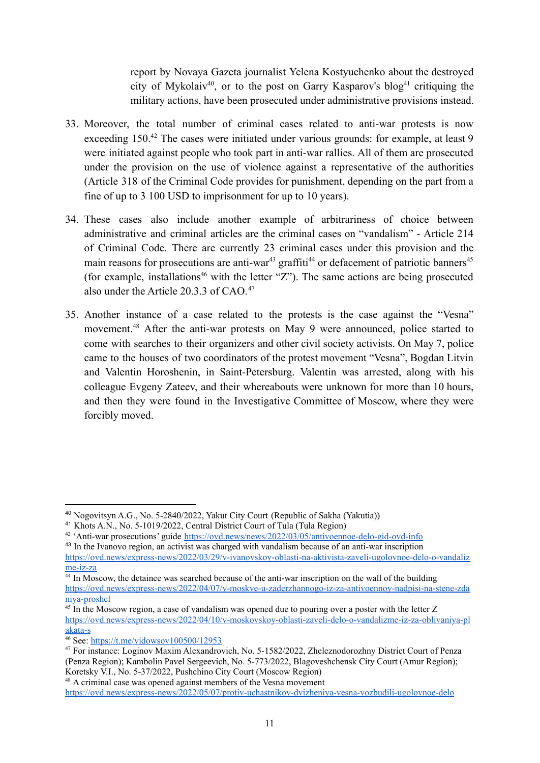report by Novaya Gazeta journalist Yelena Kostyuchenko about the destroyed city of Mykolaiv<sup>40</sup>, or to the post on Garry Kasparov's blog<sup>41</sup> critiquing the military actions, have been prosecuted under administrative provisions instead.

- 33. Moreover, the total number of criminal cases related to anti-war protests is now exceeding 150.<sup>42</sup> The cases were initiated under various grounds: for example, at least 9 were initiated against people who took part in anti-war rallies. All of them are prosecuted under the provision on the use of violence against a representative of the authorities (Article 318 of the Criminal Code provides for punishment, depending on the part from a fine of up to 3 100 USD to imprisonment for up to 10 years).
- 34. These cases also include another example of arbitrariness of choice between administrative and criminal articles are the criminal cases on "vandalism" - Article 214 of Criminal Code. There are currently 23 criminal cases under this provision and the main reasons for prosecutions are anti-war<sup>43</sup> graffiti<sup>44</sup> or defacement of patriotic banners<sup>45</sup> (for example, installations<sup>46</sup> with the letter "Z"). The same actions are being prosecuted also under the Article 20.3.3 of CAO.<sup>47</sup>
- 35. Another instance of a case related to the protests is the case against the "Vesna" movement.<sup>48</sup> After the anti-war protests on May 9 were announced, police started to come with searches to their organizers and other civil society activists. On May 7, police came to the houses of two coordinators of the protest movement "Vesna", Bogdan Litvin and Valentin Horoshenin, in Saint-Petersburg. Valentin was arrested, along with his colleague Evgeny Zateev, and their whereabouts were unknown for more than 10 hours, and then they were found in the Investigative Committee of Moscow, where they were forcibly moved.

<sup>40</sup> Nogovitsyn A.G., No. 5-2840/2022, Yakut City Court (Republic of Sakha (Yakutia))

<sup>41</sup> Khots A.N., No. 5-1019/2022, Central District Court of Tula (Tula Region)

<sup>&</sup>lt;sup>42</sup> 'Anti-war prosecutions' guide <https://ovd.news/news/2022/03/05/antivoennoe-delo-gid-ovd-info>

<sup>&</sup>lt;sup>43</sup> In the Ivanovo region, an activist was charged with vandalism because of an anti-war inscription [https://ovd.news/express-news/2022/03/29/v-ivanovskoy-oblasti-na-aktivista-zaveli-ugolovnoe-delo-o-vandaliz](https://ovd.news/express-news/2022/03/29/v-ivanovskoy-oblasti-na-aktivista-zaveli-ugolovnoe-delo-o-vandalizme-iz-za) [me-iz-za](https://ovd.news/express-news/2022/03/29/v-ivanovskoy-oblasti-na-aktivista-zaveli-ugolovnoe-delo-o-vandalizme-iz-za)

<sup>44</sup> In Moscow, the detainee was searched because of the anti-war inscription on the wall of the building [https://ovd.news/express-news/2022/04/07/v-moskve-u-zaderzhannogo-iz-za-antivoennoy-nadpisi-na-stene-zda](https://ovd.news/express-news/2022/04/07/v-moskve-u-zaderzhannogo-iz-za-antivoennoy-nadpisi-na-stene-zdaniya-proshel) [niya-proshel](https://ovd.news/express-news/2022/04/07/v-moskve-u-zaderzhannogo-iz-za-antivoennoy-nadpisi-na-stene-zdaniya-proshel)

<sup>&</sup>lt;sup>45</sup> In the Moscow region, a case of vandalism was opened due to pouring over a poster with the letter Z [https://ovd.news/express-news/2022/04/10/v-moskovskoy-oblasti-zaveli-delo-o-vandalizme-iz-za-oblivaniya-pl](https://ovd.news/express-news/2022/04/10/v-moskovskoy-oblasti-zaveli-delo-o-vandalizme-iz-za-oblivaniya-plakata-s) [akata-s](https://ovd.news/express-news/2022/04/10/v-moskovskoy-oblasti-zaveli-delo-o-vandalizme-iz-za-oblivaniya-plakata-s)

 $\frac{46}{46}$  See: <https://t.me/vidowsov100500/12953>

<sup>47</sup> For instance: Loginov Maxim Alexandrovich, No. 5-1582/2022, Zheleznodorozhny District Court of Penza (Penza Region); Kambolin Pavel Sergeevich, No. 5-773/2022, Blagoveshchensk City Court (Amur Region); Koretsky V.I., No. 5-37/2022, Pushchino City Court (Moscow Region)

<sup>48</sup> A criminal case was opened against members of the Vesna movement

<https://ovd.news/express-news/2022/05/07/protiv-uchastnikov-dvizheniya-vesna-vozbudili-ugolovnoe-delo>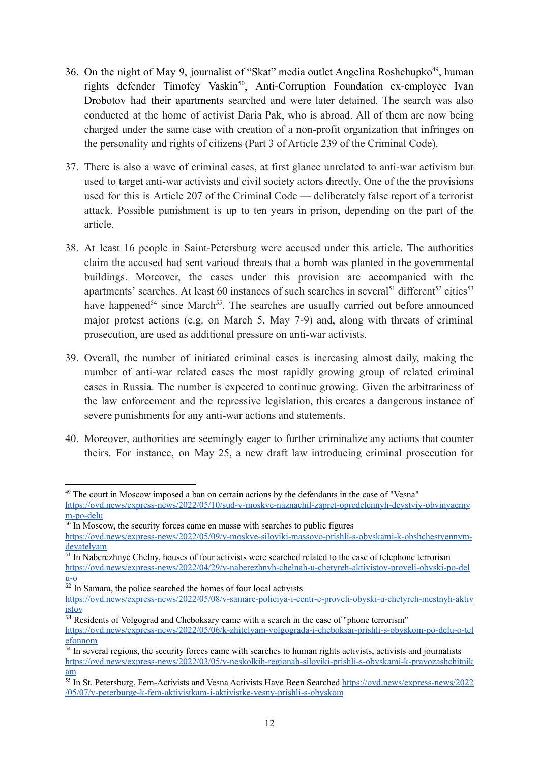- 36. On the night of May 9, journalist of "Skat" media outlet Angelina Roshchupko<sup>49</sup>, human rights defender Timofey Vaskin<sup>50</sup>, Anti-Corruption Foundation ex-employee Ivan Drobotov had their apartments searched and were later detained. The search was also conducted at the home of activist Daria Pak, who is abroad. All of them are now being charged under the same case with creation of a non-profit organization that infringes on the personality and rights of citizens (Part 3 of Article 239 of the Criminal Code).
- 37. There is also a wave of criminal cases, at first glance unrelated to anti-war activism but used to target anti-war activists and civil society actors directly. One of the the provisions used for this is Article 207 of the Criminal Code — deliberately false report of a terrorist attack. Possible punishment is up to ten years in prison, depending on the part of the article.
- 38. At least 16 people in Saint-Petersburg were accused under this article. The authorities claim the accused had sent varioud threats that a bomb was planted in the governmental buildings. Moreover, the cases under this provision are accompanied with the apartments' searches. At least 60 instances of such searches in several<sup>51</sup> different<sup>52</sup> cities<sup>53</sup> have happened<sup>54</sup> since March<sup>55</sup>. The searches are usually carried out before announced major protest actions (e.g. on March 5, May 7-9) and, along with threats of criminal prosecution, are used as additional pressure on anti-war activists.
- 39. Overall, the number of initiated criminal cases is increasing almost daily, making the number of anti-war related cases the most rapidly growing group of related criminal cases in Russia. The number is expected to continue growing. Given the arbitrariness of the law enforcement and the repressive legislation, this creates a dangerous instance of severe punishments for any anti-war actions and statements.
- 40. Moreover, authorities are seemingly eager to further criminalize any actions that counter theirs. For instance, on May 25, a new draft law introducing criminal prosecution for

<sup>51</sup> In Naberezhnye Chelny, houses of four activists were searched related to the case of telephone terrorism [https://ovd.news/express-news/2022/04/29/v-naberezhnyh-chelnah-u-chetyreh-aktivistov-proveli-obyski-po-del](https://ovd.news/express-news/2022/04/29/v-naberezhnyh-chelnah-u-chetyreh-aktivistov-proveli-obyski-po-delu-o)

 $u-o$  $u-o$  $u-o$ </u>

 $52$  In Samara, the police searched the homes of four local activists

<sup>49</sup> The court in Moscow imposed a ban on certain actions by the defendants in the case of "Vesna" [https://ovd.news/express-news/2022/05/10/sud-v-moskve-naznachil-zapret-opredelennyh-deystviy-obvinyaemy](https://ovd.news/express-news/2022/05/10/sud-v-moskve-naznachil-zapret-opredelennyh-deystviy-obvinyaemym-po-delu) [m-po-delu](https://ovd.news/express-news/2022/05/10/sud-v-moskve-naznachil-zapret-opredelennyh-deystviy-obvinyaemym-po-delu)

<sup>&</sup>lt;sup>50</sup> In Moscow, the security forces came en masse with searches to public figures

[https://ovd.news/express-news/2022/05/09/v-moskve-siloviki-massovo-prishli-s-obyskami-k-obshchestvennym](https://ovd.news/express-news/2022/05/09/v-moskve-siloviki-massovo-prishli-s-obyskami-k-obshchestvennym-deyatelyam)[deyatelyam](https://ovd.news/express-news/2022/05/09/v-moskve-siloviki-massovo-prishli-s-obyskami-k-obshchestvennym-deyatelyam)

[https://ovd.news/express-news/2022/05/08/v-samare-policiya-i-centr-e-proveli-obyski-u-chetyreh-mestnyh-aktiv](https://ovd.news/express-news/2022/05/08/v-samare-policiya-i-centr-e-proveli-obyski-u-chetyreh-mestnyh-aktivistov) [istov](https://ovd.news/express-news/2022/05/08/v-samare-policiya-i-centr-e-proveli-obyski-u-chetyreh-mestnyh-aktivistov)

<sup>&</sup>lt;sup>53</sup> Residents of Volgograd and Cheboksary came with a search in the case of "phone terrorism" [https://ovd.news/express-news/2022/05/06/k-zhitelyam-volgograda-i-cheboksar-prishli-s-obyskom-po-delu-o-tel](https://ovd.news/express-news/2022/05/06/k-zhitelyam-volgograda-i-cheboksar-prishli-s-obyskom-po-delu-o-telefonnom) [efonnom](https://ovd.news/express-news/2022/05/06/k-zhitelyam-volgograda-i-cheboksar-prishli-s-obyskom-po-delu-o-telefonnom)

<sup>&</sup>lt;sup>54</sup> In several regions, the security forces came with searches to human rights activists, activists and journalists [https://ovd.news/express-news/2022/03/05/v-neskolkih-regionah-siloviki-prishli-s-obyskami-k-pravozashchitnik](https://ovd.news/express-news/2022/03/05/v-neskolkih-regionah-siloviki-prishli-s-obyskami-k-pravozashchitnikam) [am](https://ovd.news/express-news/2022/03/05/v-neskolkih-regionah-siloviki-prishli-s-obyskami-k-pravozashchitnikam)

<sup>55</sup> In St. Petersburg, Fem-Activists and Vesna Activists Have Been Searched [https://ovd.news/express-news/2022](https://ovd.news/express-news/2022/05/07/v-peterburge-k-fem-aktivistkam-i-aktivistke-vesny-prishli-s-obyskom) [/05/07/v-peterburge-k-fem-aktivistkam-i-aktivistke-vesny-prishli-s-obyskom](https://ovd.news/express-news/2022/05/07/v-peterburge-k-fem-aktivistkam-i-aktivistke-vesny-prishli-s-obyskom)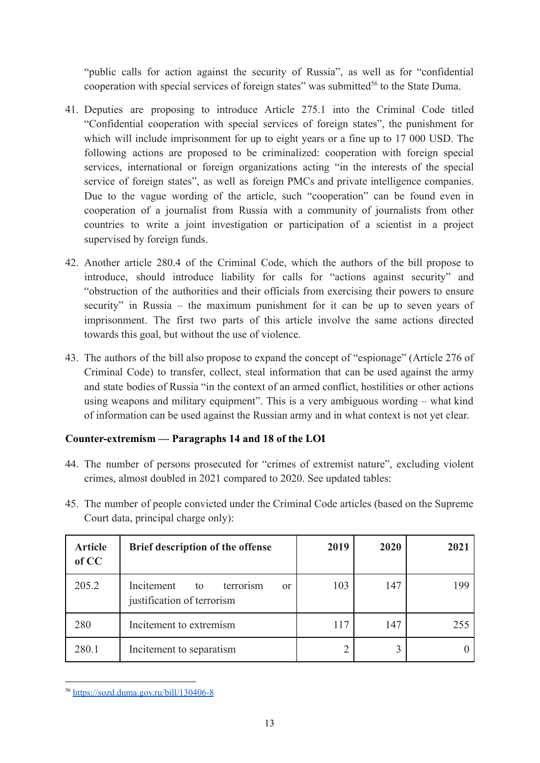"public calls for action against the security of Russia", as well as for "confidential cooperation with special services of foreign states" was submitted<sup>56</sup> to the State Duma.

- 41. Deputies are proposing to introduce Article 275.1 into the Criminal Code titled "Confidential cooperation with special services of foreign states", the punishment for which will include imprisonment for up to eight years or a fine up to 17 000 USD. The following actions are proposed to be criminalized: cooperation with foreign special services, international or foreign organizations acting "in the interests of the special service of foreign states", as well as foreign PMCs and private intelligence companies. Due to the vague wording of the article, such "cooperation" can be found even in cooperation of a journalist from Russia with a community of journalists from other countries to write a joint investigation or participation of a scientist in a project supervised by foreign funds.
- 42. Another article 280.4 of the Criminal Code, which the authors of the bill propose to introduce, should introduce liability for calls for "actions against security" and "obstruction of the authorities and their officials from exercising their powers to ensure security" in Russia – the maximum punishment for it can be up to seven years of imprisonment. The first two parts of this article involve the same actions directed towards this goal, but without the use of violence.
- 43. The authors of the bill also propose to expand the concept of "espionage" (Article 276 of Criminal Code) to transfer, collect, steal information that can be used against the army and state bodies of Russia "in the context of an armed conflict, hostilities or other actions using weapons and military equipment". This is a very ambiguous wording – what kind of information can be used against the Russian army and in what context is not yet clear.

## <span id="page-12-0"></span>**Counter-extremism — Paragraphs 14 and 18 of the LOI**

- 44. The number of persons prosecuted for "crimes of extremist nature", excluding violent crimes, almost doubled in 2021 compared to 2020. See updated tables:
- 45. The number of people convicted under the Criminal Code articles (based on the Supreme Court data, principal charge only):

| <b>Article</b><br>of CC | Brief description of the offense                                             | 2019 | 2020 | 2021 |
|-------------------------|------------------------------------------------------------------------------|------|------|------|
| 205.2                   | Incitement<br>terrorism<br>to<br><sub>or</sub><br>justification of terrorism | 103  | 147  | 199  |
| 280                     | Incitement to extremism                                                      | 117  | 147  | 255  |
| 280.1                   | Incitement to separatism                                                     |      |      |      |

<sup>56</sup> <https://sozd.duma.gov.ru/bill/130406-8>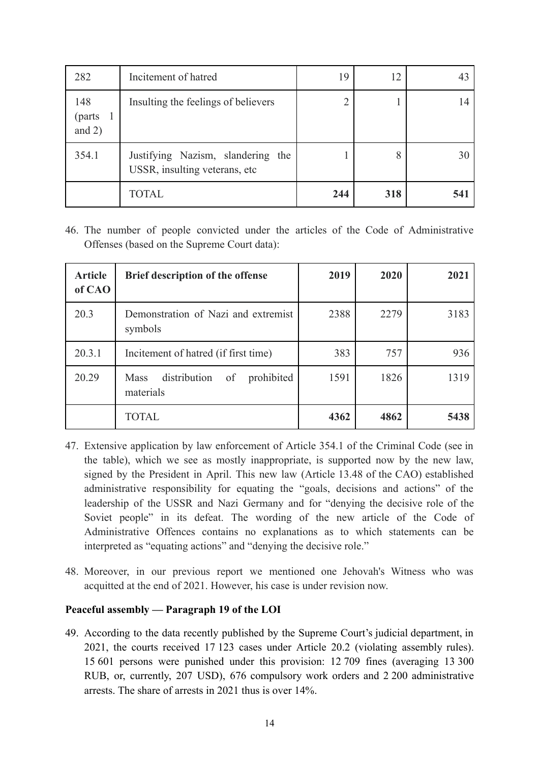| 282                        | Incitement of hatred                                               | 19  | 12  | 43  |
|----------------------------|--------------------------------------------------------------------|-----|-----|-----|
| 148<br>(parts)<br>and $2)$ | Insulting the feelings of believers                                |     |     | 14  |
| 354.1                      | Justifying Nazism, slandering the<br>USSR, insulting veterans, etc |     |     | 30  |
|                            | TOTAL                                                              | 244 | 318 | 541 |

46. The number of people convicted under the articles of the Code of Administrative Offenses (based on the Supreme Court data):

| <b>Article</b><br>of CAO | <b>Brief description of the offense</b>                      | 2019 | 2020 | 2021 |
|--------------------------|--------------------------------------------------------------|------|------|------|
| 20.3                     | Demonstration of Nazi and extremist<br>symbols               | 2388 | 2279 | 3183 |
| 20.3.1                   | Incitement of hatred (if first time)                         | 383  | 757  | 936  |
| 20.29                    | distribution<br>prohibited<br><b>Mass</b><br>of<br>materials | 1591 | 1826 | 1319 |
|                          | <b>TOTAL</b>                                                 | 4362 | 4862 | 5438 |

- 47. Extensive application by law enforcement of Article 354.1 of the Criminal Code (see in the table), which we see as mostly inappropriate, is supported now by the new law, signed by the President in April. This new law (Article 13.48 of the CAO) established administrative responsibility for equating the "goals, decisions and actions" of the leadership of the USSR and Nazi Germany and for "denying the decisive role of the Soviet people" in its defeat. The wording of the new article of the Code of Administrative Offences contains no explanations as to which statements can be interpreted as "equating actions" and "denying the decisive role."
- 48. Moreover, in our previous report we mentioned one Jehovah's Witness who was acquitted at the end of 2021. However, his case is under revision now.

# <span id="page-13-0"></span>**Peaceful assembly — Paragraph 19 of the LOI**

49. According to the data recently published by the Supreme Court's judicial department, in 2021, the courts received 17 123 cases under Article 20.2 (violating assembly rules). 15 601 persons were punished under this provision: 12 709 fines (averaging 13 300 RUB, or, currently, 207 USD), 676 compulsory work orders and 2 200 administrative arrests. The share of arrests in 2021 thus is over 14%.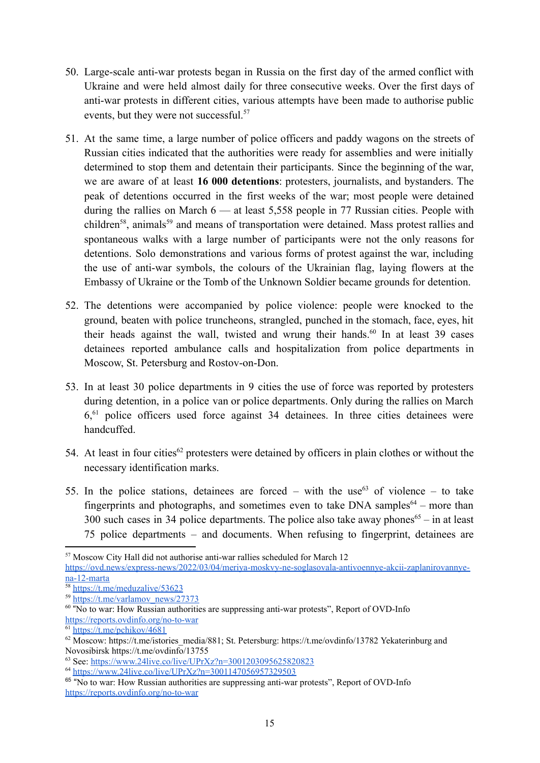- 50. Large-scale anti-war protests began in Russia on the first day of the armed conflict with Ukraine and were held almost daily for three consecutive weeks. Over the first days of anti-war protests in different cities, various attempts have been made to authorise public events, but they were not successful.<sup>57</sup>
- 51. At the same time, a large number of police officers and paddy wagons on the streets of Russian cities indicated that the authorities were ready for assemblies and were initially determined to stop them and detentain their participants. Since the beginning of the war, we are aware of at least **16 000 detentions**: protesters, journalists, and bystanders. The peak of detentions occurred in the first weeks of the war; most people were detained during the rallies on March 6 — at least 5,558 people in 77 Russian cities. People with children<sup>58</sup>, animals<sup>59</sup> and means of transportation were detained. Mass protest rallies and spontaneous walks with a large number of participants were not the only reasons for detentions. Solo demonstrations and various forms of protest against the war, including the use of anti-war symbols, the colours of the Ukrainian flag, laying flowers at the Embassy of Ukraine or the Tomb of the Unknown Soldier became grounds for detention.
- 52. The detentions were accompanied by police violence: people were knocked to the ground, beaten with police truncheons, strangled, punched in the stomach, face, eyes, hit their heads against the wall, twisted and wrung their hands.<sup>60</sup> In at least 39 cases detainees reported ambulance calls and hospitalization from police departments in Moscow, St. Petersburg and Rostov-on-Don.
- 53. In at least 30 police departments in 9 cities the use of force was reported by protesters during detention, in a police van or police departments. Only during the rallies on March 6,<sup>61</sup> police officers used force against 34 detainees. In three cities detainees were handcuffed.
- 54. At least in four cities<sup>62</sup> protesters were detained by officers in plain clothes or without the necessary identification marks.
- 55. In the police stations, detainees are forced with the use<sup>63</sup> of violence to take fingerprints and photographs, and sometimes even to take DNA samples<sup>64</sup> – more than 300 such cases in 34 police departments. The police also take away phones<sup>65</sup> – in at least 75 police departments – and documents. When refusing to fingerprint, detainees are

<sup>57</sup> Moscow City Hall did not authorise anti-war rallies scheduled for March 12

[https://ovd.news/express-news/2022/03/04/meriya-moskvy-ne-soglasovala-antivoennye-akcii-zaplanirovannye](https://ovd.news/express-news/2022/03/04/meriya-moskvy-ne-soglasovala-antivoennye-akcii-zaplanirovannye-na-12-marta)[na-12-marta](https://ovd.news/express-news/2022/03/04/meriya-moskvy-ne-soglasovala-antivoennye-akcii-zaplanirovannye-na-12-marta)

<sup>58</sup> <https://t.me/meduzalive/53623>

<sup>59</sup> [https://t.me/varlamov\\_news/27373](https://t.me/varlamov_news/27373)

<sup>&</sup>lt;sup>60</sup> "No to war: How Russian authorities are suppressing anti-war protests", Report of OVD-Info <https://reports.ovdinfo.org/no-to-war>

<sup>61</sup> <https://t.me/pchikov/4681>

 $62$  Moscow: [https://t.me/istories\\_media/881](https://t.me/istories_media/881); St. Petersburg: <https://t.me/ovdinfo/13782> Yekaterinburg and Novosibirsk <https://t.me/ovdinfo/13755>

<sup>63</sup> See: <https://www.24live.co/live/UPrXz?n=3001203095625820823>

<sup>64</sup> <https://www.24live.co/live/UPrXz?n=3001147056957329503>

<sup>&</sup>lt;sup>65</sup> "No to war: How Russian authorities are suppressing anti-war protests", Report of OVD-Info <https://reports.ovdinfo.org/no-to-war>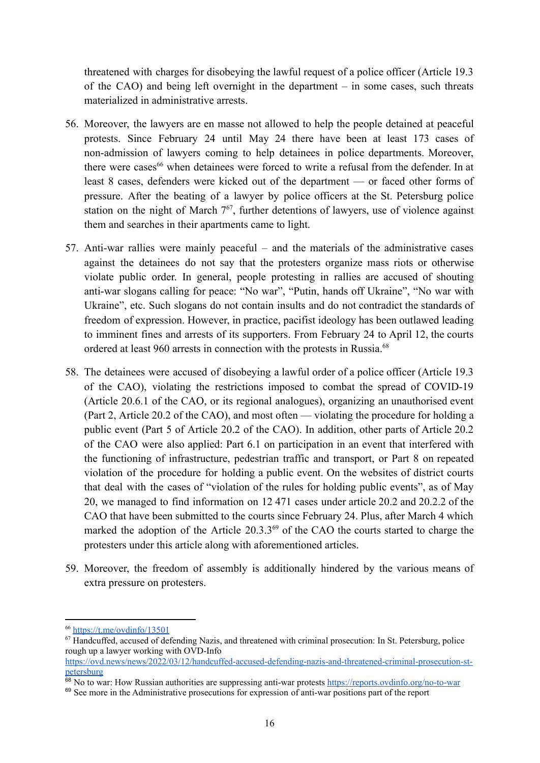threatened with charges for disobeying the lawful request of a police officer (Article 19.3 of the CAO) and being left overnight in the department – in some cases, such threats materialized in administrative arrests.

- 56. Moreover, the lawyers are en masse not allowed to help the people detained at peaceful protests. Since February 24 until May 24 there have been at least 173 cases of non-admission of lawyers coming to help detainees in police departments. Moreover, there were cases<sup>66</sup> when detainees were forced to write a refusal from the defender. In at least 8 cases, defenders were kicked out of the department — or faced other forms of pressure. After the beating of a lawyer by police officers at the St. Petersburg police station on the night of March  $7<sup>67</sup>$ , further detentions of lawyers, use of violence against them and searches in their apartments came to light.
- 57. Anti-war rallies were mainly peaceful and the materials of the administrative cases against the detainees do not say that the protesters organize mass riots or otherwise violate public order. In general, people protesting in rallies are accused of shouting anti-war slogans calling for peace: "No war", "Putin, hands off Ukraine", "No war with Ukraine", etc. Such slogans do not contain insults and do not contradict the standards of freedom of expression. However, in practice, pacifist ideology has been outlawed leading to imminent fines and arrests of its supporters. From February 24 to April 12, the courts ordered at least 960 arrests in connection with the protests in Russia.<sup>68</sup>
- 58. The detainees were accused of disobeying a lawful order of a police officer (Article 19.3 of the CAO), violating the restrictions imposed to combat the spread of COVID-19 (Article 20.6.1 of the CAO, or its regional analogues), organizing an unauthorised event (Part 2, Article 20.2 of the CAO), and most often — violating the procedure for holding a public event (Part 5 of Article 20.2 of the CAO). In addition, other parts of Article 20.2 of the CAO were also applied: Part 6.1 on participation in an event that interfered with the functioning of infrastructure, pedestrian traffic and transport, or Part 8 on repeated violation of the procedure for holding a public event. On the websites of district courts that deal with the cases of "violation of the rules for holding public events", as of May 20, we managed to find information on 12 471 cases under article 20.2 and 20.2.2 of the CAO that have been submitted to the courts since February 24. Plus, after March 4 which marked the adoption of the Article  $20.3.3<sup>69</sup>$  of the CAO the courts started to charge the protesters under this article along with aforementioned articles.
- 59. Moreover, the freedom of assembly is additionally hindered by the various means of extra pressure on protesters.

<sup>66</sup> <https://t.me/ovdinfo/13501>

 $67$  Handcuffed, accused of defending Nazis, and threatened with criminal prosecution: In St. Petersburg, police rough up a lawyer working with OVD-Info

[https://ovd.news/news/2022/03/12/handcuffed-accused-defending-nazis-and-threatened-criminal-prosecution-st](https://ovd.news/news/2022/03/12/handcuffed-accused-defending-nazis-and-threatened-criminal-prosecution-st-petersburg)[petersburg](https://ovd.news/news/2022/03/12/handcuffed-accused-defending-nazis-and-threatened-criminal-prosecution-st-petersburg)

<sup>&</sup>lt;sup>68</sup> No to war: How Russian authorities are suppressing anti-war protests <https://reports.ovdinfo.org/no-to-war>

<sup>&</sup>lt;sup>69</sup> See more in the Administrative prosecutions for expression of anti-war positions part of the report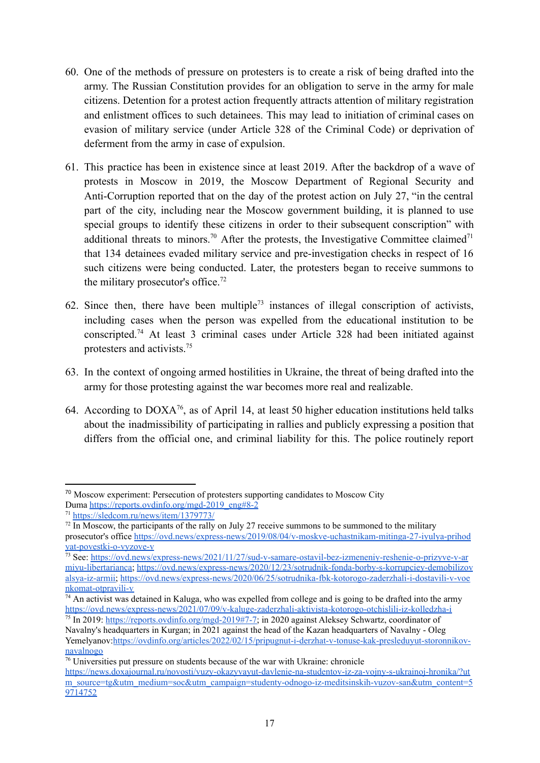- 60. One of the methods of pressure on protesters is to create a risk of being drafted into the army. The Russian Constitution provides for an obligation to serve in the army for male citizens. Detention for a protest action frequently attracts attention of military registration and enlistment offices to such detainees. This may lead to initiation of criminal cases on evasion of military service (under Article 328 of the Criminal Code) or deprivation of deferment from the army in case of expulsion.
- 61. This practice has been in existence since at least 2019. After the backdrop of a wave of protests in Moscow in 2019, the Moscow Department of Regional Security and Anti-Corruption reported that on the day of the protest action on July 27, "in the central part of the city, including near the Moscow government building, it is planned to use special groups to identify these citizens in order to their subsequent conscription" with additional threats to minors.<sup>70</sup> After the protests, the Investigative Committee claimed<sup>71</sup> that 134 detainees evaded military service and pre-investigation checks in respect of 16 such citizens were being conducted. Later, the protesters began to receive summons to the military prosecutor's office.<sup>72</sup>
- 62. Since then, there have been multiple<sup>73</sup> instances of illegal conscription of activists, including cases when the person was expelled from the educational institution to be conscripted.<sup>74</sup> At least 3 criminal cases under Article 328 had been initiated against protesters and activists.<sup>75</sup>
- 63. In the context of ongoing armed hostilities in Ukraine, the threat of being drafted into the army for those protesting against the war becomes more real and realizable.
- 64. According to  $DOXA^{76}$ , as of April 14, at least 50 higher education institutions held talks about the inadmissibility of participating in rallies and publicly expressing a position that differs from the official one, and criminal liability for this. The police routinely report

<sup>70</sup> Moscow experiment: Persecution of protesters supporting candidates to Moscow City Duma [https://reports.ovdinfo.org/mgd-2019\\_eng#8-2](https://reports.ovdinfo.org/mgd-2019_eng#8-2)

<sup>71</sup> <https://sledcom.ru/news/item/1379773/>

 $^{72}$  In Moscow, the participants of the rally on July 27 receive summons to be summoned to the military prosecutor's office [https://ovd.news/express-news/2019/08/04/v-moskve-uchastnikam-mitinga-27-iyulya-prihod](https://ovd.news/express-news/2019/08/04/v-moskve-uchastnikam-mitinga-27-iyulya-prihodyat-povestki-o-vyzove-v) [yat-povestki-o-vyzove-v](https://ovd.news/express-news/2019/08/04/v-moskve-uchastnikam-mitinga-27-iyulya-prihodyat-povestki-o-vyzove-v)

<sup>73</sup> See: [https://ovd.news/express-news/2021/11/27/sud-v-samare-ostavil-bez-izmeneniy-reshenie-o-prizyve-v-ar](https://ovd.news/express-news/2021/11/27/sud-v-samare-ostavil-bez-izmeneniy-reshenie-o-prizyve-v-armiyu-libertarianca) [miyu-libertarianca;](https://ovd.news/express-news/2021/11/27/sud-v-samare-ostavil-bez-izmeneniy-reshenie-o-prizyve-v-armiyu-libertarianca) [https://ovd.news/express-news/2020/12/23/sotrudnik-fonda-borby-s-korrupciey-demobilizov](https://ovd.news/express-news/2020/12/23/sotrudnik-fonda-borby-s-korrupciey-demobilizovalsya-iz-armii) [alsya-iz-armii;](https://ovd.news/express-news/2020/12/23/sotrudnik-fonda-borby-s-korrupciey-demobilizovalsya-iz-armii) [https://ovd.news/express-news/2020/06/25/sotrudnika-fbk-kotorogo-zaderzhali-i-dostavili-v-voe](https://ovd.news/express-news/2020/06/25/sotrudnika-fbk-kotorogo-zaderzhali-i-dostavili-v-voenkomat-otpravili-v) [nkomat-otpravili-v](https://ovd.news/express-news/2020/06/25/sotrudnika-fbk-kotorogo-zaderzhali-i-dostavili-v-voenkomat-otpravili-v)

 $74$  An activist was detained in Kaluga, who was expelled from college and is going to be drafted into the army <https://ovd.news/express-news/2021/07/09/v-kaluge-zaderzhali-aktivista-kotorogo-otchislili-iz-kolledzha-i>

<sup>75</sup> In 2019: [https://reports.ovdinfo.org/mgd-2019#7-7;](https://reports.ovdinfo.org/mgd-2019#7-7) in 2020 against Aleksey Schwartz, coordinator of Navalny's headquarters in Kurgan; in 2021 against the head of the Kazan headquarters of Navalny - Oleg Yemelyanov:[https://ovdinfo.org/articles/2022/02/15/pripugnut-i-derzhat-v-tonuse-kak-presleduyut-storonnikov](https://ovdinfo.org/articles/2022/02/15/pripugnut-i-derzhat-v-tonuse-kak-presleduyut-storonnikov-navalnogo)[navalnogo](https://ovdinfo.org/articles/2022/02/15/pripugnut-i-derzhat-v-tonuse-kak-presleduyut-storonnikov-navalnogo)

 $76$  Universities put pressure on students because of the war with Ukraine: chronicle [https://news.doxajournal.ru/novosti/vuzy-okazyvayut-davlenie-na-studentov-iz-za-vojny-s-ukrainoj-hronika/?ut](https://news.doxajournal.ru/novosti/vuzy-okazyvayut-davlenie-na-studentov-iz-za-vojny-s-ukrainoj-hronika/?utm_source=tg&utm_medium=soc&utm_campaign=studenty-odnogo-iz-meditsinskih-vuzov-san&utm_content=59714752) [m\\_source=tg&utm\\_medium=soc&utm\\_campaign=studenty-odnogo-iz-meditsinskih-vuzov-san&utm\\_content=5](https://news.doxajournal.ru/novosti/vuzy-okazyvayut-davlenie-na-studentov-iz-za-vojny-s-ukrainoj-hronika/?utm_source=tg&utm_medium=soc&utm_campaign=studenty-odnogo-iz-meditsinskih-vuzov-san&utm_content=59714752) [9714752](https://news.doxajournal.ru/novosti/vuzy-okazyvayut-davlenie-na-studentov-iz-za-vojny-s-ukrainoj-hronika/?utm_source=tg&utm_medium=soc&utm_campaign=studenty-odnogo-iz-meditsinskih-vuzov-san&utm_content=59714752)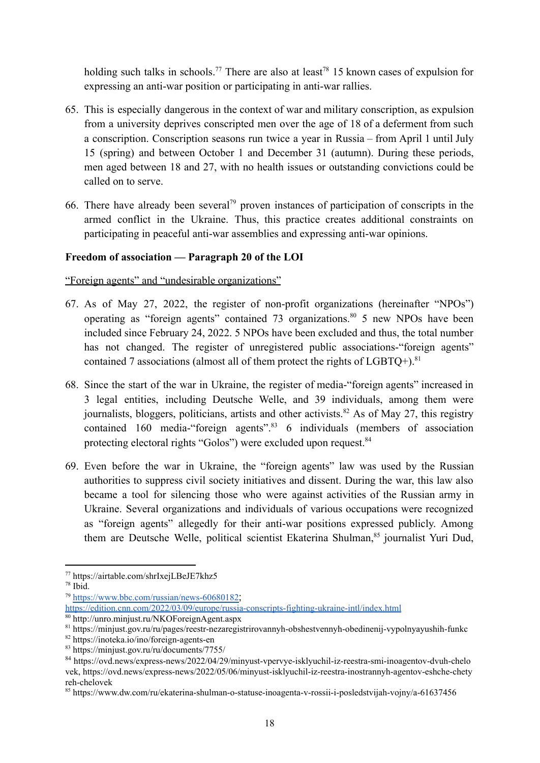holding such talks in schools.<sup>77</sup> There are also at least<sup>78</sup> 15 known cases of expulsion for expressing an anti-war position or participating in anti-war rallies.

- 65. This is especially dangerous in the context of war and military conscription, as expulsion from a university deprives conscripted men over the age of 18 of a deferment from such a conscription. Conscription seasons run twice a year in Russia – from April 1 until July 15 (spring) and between October 1 and December 31 (autumn). During these periods, men aged between 18 and 27, with no health issues or outstanding convictions could be called on to serve.
- 66. There have already been several<sup>79</sup> proven instances of participation of conscripts in the armed conflict in the Ukraine. Thus, this practice creates additional constraints on participating in peaceful anti-war assemblies and expressing anti-war opinions.

### <span id="page-17-0"></span>**Freedom of association — Paragraph 20 of the LOI**

<span id="page-17-1"></span>"Foreign agents" and "undesirable organizations"

- 67. As of May 27, 2022, the register of non-profit organizations (hereinafter "NPOs") operating as "foreign agents" contained 73 organizations.<sup>80</sup> 5 new NPOs have been included since February 24, 2022. 5 NPOs have been excluded and thus, the total number has not changed. The register of unregistered public associations-"foreign agents" contained 7 associations (almost all of them protect the rights of  $LGBTQ+$ ).<sup>81</sup>
- 68. Since the start of the war in Ukraine, the register of media-"foreign agents" increased in 3 legal entities, including Deutsche Welle, and 39 individuals, among them were journalists, bloggers, politicians, artists and other activists.<sup>82</sup> As of May 27, this registry contained 160 media-"foreign agents".<sup>83</sup> 6 individuals (members of association protecting electoral rights "Golos") were excluded upon request.<sup>84</sup>
- 69. Even before the war in Ukraine, the "foreign agents" law was used by the Russian authorities to suppress civil society initiatives and dissent. During the war, this law also became a tool for silencing those who were against activities of the Russian army in Ukraine. Several organizations and individuals of various occupations were recognized as "foreign agents" allegedly for their anti-war positions expressed publicly. Among them are Deutsche Welle, political scientist Ekaterina Shulman,<sup>85</sup> journalist Yuri Dud,

<sup>77</sup> https://airtable.com/shrIxejLBeJE7khz5

<sup>78</sup> Ibid.

<sup>79</sup> <https://www.bbc.com/russian/news-60680182>;

<https://edition.cnn.com/2022/03/09/europe/russia-conscripts-fighting-ukraine-intl/index.html>

<sup>80</sup> http://unro.minjust.ru/NKOForeignAgent.aspx

<sup>81</sup> https://minjust.gov.ru/ru/pages/reestr-nezaregistrirovannyh-obshestvennyh-obedinenij-vypolnyayushih-funkc

<sup>82</sup> https://inoteka.io/ino/foreign-agents-en

<sup>83</sup> https://minjust.gov.ru/ru/documents/7755/

<sup>84</sup> [https://ovd.news/express-news/2022/04/29/minyust-vpervye-isklyuchil-iz-reestra-smi-inoagentov-dvuh-chelo](https://ovd.news/express-news/2022/04/29/minyust-vpervye-isklyuchil-iz-reestra-smi-inoagentov-dvuh-chelovek) [vek](https://ovd.news/express-news/2022/04/29/minyust-vpervye-isklyuchil-iz-reestra-smi-inoagentov-dvuh-chelovek), https://ovd.news/express-news/2022/05/06/minyust-isklyuchil-iz-reestra-inostrannyh-agentov-eshche-chety reh-chelovek

<sup>85</sup> https://www.dw.com/ru/ekaterina-shulman-o-statuse-inoagenta-v-rossii-i-posledstvijah-vojny/a-61637456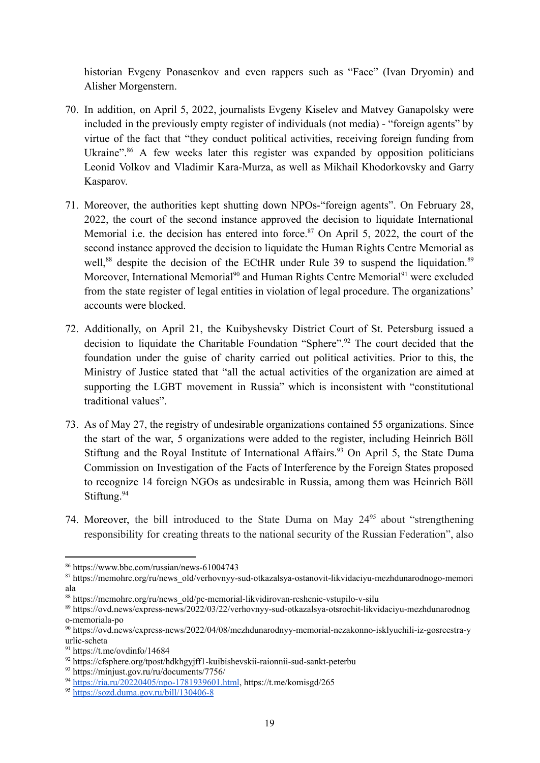historian Evgeny Ponasenkov and even rappers such as "Face" (Ivan Dryomin) and Alisher Morgenstern.

- 70. In addition, on April 5, 2022, journalists Evgeny Kiselev and Matvey Ganapolsky were included in the previously empty register of individuals (not media) - "foreign agents" by virtue of the fact that "they conduct political activities, receiving foreign funding from Ukraine".<sup>86</sup> A few weeks later this register was expanded by opposition politicians Leonid Volkov and Vladimir Kara-Murza, as well as Mikhail Khodorkovsky and Garry Kasparov.
- 71. Moreover, the authorities kept shutting down NPOs-"foreign agents". On February 28, 2022, the court of the second instance approved the decision to liquidate International Memorial i.e. the decision has entered into force.<sup>87</sup> On April 5, 2022, the court of the second instance approved the decision to liquidate the Human Rights Centre Memorial as well,<sup>88</sup> despite the decision of the ECtHR under Rule 39 to suspend the liquidation.<sup>89</sup> Moreover, International Memorial<sup>90</sup> and Human Rights Centre Memorial<sup>91</sup> were excluded from the state register of legal entities in violation of legal procedure. The organizations' accounts were blocked.
- 72. Additionally, on April 21, the Kuibyshevsky District Court of St. Petersburg issued a decision to liquidate the Charitable Foundation "Sphere".<sup>92</sup> The court decided that the foundation under the guise of charity carried out political activities. Prior to this, the Ministry of Justice stated that "all the actual activities of the organization are aimed at supporting the LGBT movement in Russia" which is inconsistent with "constitutional traditional values".
- 73. As of May 27, the registry of undesirable organizations contained 55 organizations. Since the start of the war, 5 organizations were added to the register, including Heinrich Böll Stiftung and the Royal Institute of International Affairs.<sup>93</sup> On April 5, the State Duma Commission on Investigation of the Facts of Interference by the Foreign States proposed to recognize 14 foreign NGOs as undesirable in Russia, among them was Heinrich Böll Stiftung.<sup>94</sup>
- 74. Moreover, the bill introduced to the State Duma on May  $24<sup>95</sup>$  about "strengthening responsibility for creating threats to the national security of the Russian Federation", also

<sup>86</sup> https://www.bbc.com/russian/news-61004743

<sup>&</sup>lt;sup>87</sup> https://memohrc.org/ru/news\_old/verhovnyy-sud-otkazalsya-ostanovit-likvidaciyu-mezhdunarodnogo-memori ala

<sup>88</sup> https://memohrc.org/ru/news\_old/pc-memorial-likvidirovan-reshenie-vstupilo-v-silu

<sup>89</sup> https://ovd.news/express-news/2022/03/22/verhovnyy-sud-otkazalsya-otsrochit-likvidaciyu-mezhdunarodnog o-memoriala-po

<sup>90</sup> https://ovd.news/express-news/2022/04/08/mezhdunarodnyy-memorial-nezakonno-isklyuchili-iz-gosreestra-y urlic-scheta

 $91 \text{ https://t.me/ovdinfo/14684}$ 

<sup>92</sup> https://cfsphere.org/tpost/hdkhgyjff1-kuibishevskii-raionnii-sud-sankt-peterbu

<sup>93</sup> https://minjust.gov.ru/ru/documents/7756/

<sup>94</sup> [https://ria.ru/20220405/npo-1781939601.html](https://ria.ru/20220405/npo-1781939601.html?utm_source=yxnews&utm_medium=desktop), https://t.me/komisgd/265

<sup>95</sup> <https://sozd.duma.gov.ru/bill/130406-8>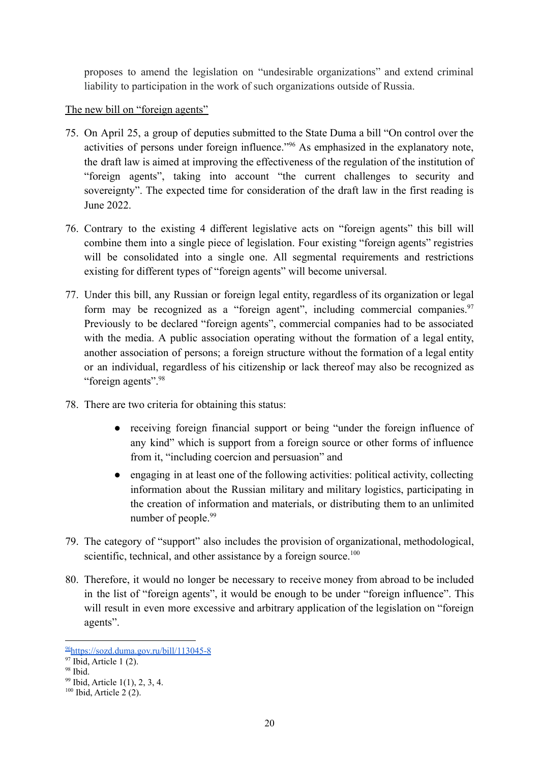proposes to amend the legislation on "undesirable organizations" and extend criminal liability to participation in the work of such organizations outside of Russia.

<span id="page-19-0"></span>The new bill on "foreign agents"

- 75. On April 25, a group of deputies submitted to the State Duma a bill "On control over the activities of persons under foreign influence."<sup>96</sup> As emphasized in the explanatory note, the draft law is aimed at improving the effectiveness of the regulation of the institution of "foreign agents", taking into account "the current challenges to security and sovereignty". The expected time for consideration of the draft law in the first reading is June 2022.
- 76. Contrary to the existing 4 different legislative acts on "foreign agents" this bill will combine them into a single piece of legislation. Four existing "foreign agents" registries will be consolidated into a single one. All segmental requirements and restrictions existing for different types of "foreign agents" will become universal.
- 77. Under this bill, any Russian or foreign legal entity, regardless of its organization or legal form may be recognized as a "foreign agent", including commercial companies.<sup>97</sup> Previously to be declared "foreign agents", commercial companies had to be associated with the media. A public association operating without the formation of a legal entity, another association of persons; a foreign structure without the formation of a legal entity or an individual, regardless of his citizenship or lack thereof may also be recognized as "foreign agents".<sup>98</sup>
- 78. There are two criteria for obtaining this status:
	- receiving foreign financial support or being "under the foreign influence of any kind" which is support from a foreign source or other forms of influence from it, "including coercion and persuasion" and
	- engaging in at least one of the following activities: political activity, collecting information about the Russian military and military logistics, participating in the creation of information and materials, or distributing them to an unlimited number of people.<sup>99</sup>
- 79. The category of "support" also includes the provision of organizational, methodological, scientific, technical, and other assistance by a foreign source.<sup>100</sup>
- 80. Therefore, it would no longer be necessary to receive money from abroad to be included in the list of "foreign agents", it would be enough to be under "foreign influence". This will result in even more excessive and arbitrary application of the legislation on "foreign" agents".

<sup>96</sup><https://sozd.duma.gov.ru/bill/113045-8>

 $97$  Ibid, Article 1 (2).

 $98$  Ibid.

<sup>99</sup> Ibid, Article 1(1), 2, 3, 4.

 $100$  Ibid, Article 2 (2).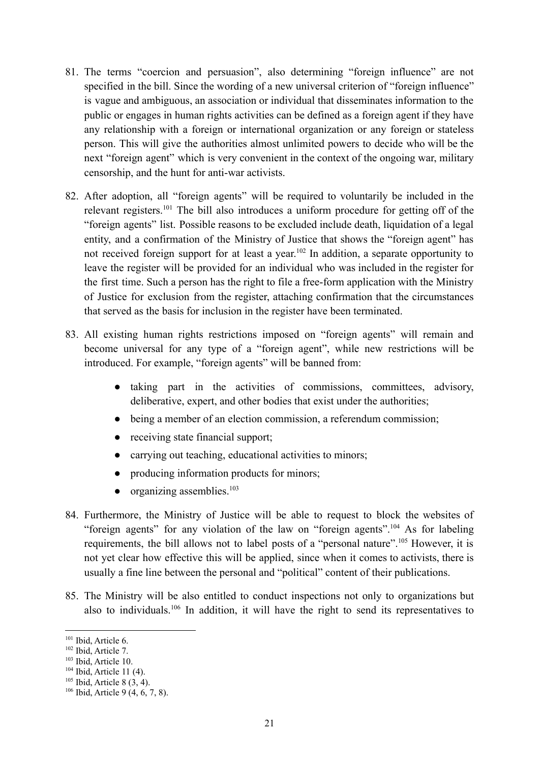- 81. The terms "coercion and persuasion", also determining "foreign influence" are not specified in the bill. Since the wording of a new universal criterion of "foreign influence" is vague and ambiguous, an association or individual that disseminates information to the public or engages in human rights activities can be defined as a foreign agent if they have any relationship with a foreign or international organization or any foreign or stateless person. This will give the authorities almost unlimited powers to decide who will be the next "foreign agent" which is very convenient in the context of the ongoing war, military censorship, and the hunt for anti-war activists.
- 82. After adoption, all "foreign agents" will be required to voluntarily be included in the relevant registers.<sup>101</sup> The bill also introduces a uniform procedure for getting off of the "foreign agents" list. Possible reasons to be excluded include death, liquidation of a legal entity, and a confirmation of the Ministry of Justice that shows the "foreign agent" has not received foreign support for at least a year.<sup>102</sup> In addition, a separate opportunity to leave the register will be provided for an individual who was included in the register for the first time. Such a person has the right to file a free-form application with the Ministry of Justice for exclusion from the register, attaching confirmation that the circumstances that served as the basis for inclusion in the register have been terminated.
- 83. All existing human rights restrictions imposed on "foreign agents" will remain and become universal for any type of a "foreign agent", while new restrictions will be introduced. For example, "foreign agents" will be banned from:
	- taking part in the activities of commissions, committees, advisory, deliberative, expert, and other bodies that exist under the authorities;
	- being a member of an election commission, a referendum commission;
	- receiving state financial support;
	- carrying out teaching, educational activities to minors;
	- producing information products for minors;
	- $\bullet$  organizing assemblies.<sup>103</sup>
- 84. Furthermore, the Ministry of Justice will be able to request to block the websites of "foreign agents" for any violation of the law on "foreign agents".<sup>104</sup> As for labeling requirements, the bill allows not to label posts of a "personal nature".<sup>105</sup> However, it is not yet clear how effective this will be applied, since when it comes to activists, there is usually a fine line between the personal and "political" content of their publications.
- 85. The Ministry will be also entitled to conduct inspections not only to organizations but also to individuals.<sup>106</sup> In addition, it will have the right to send its representatives to

<sup>&</sup>lt;sup>101</sup> Ibid, Article 6.

<sup>102</sup> Ibid, Article 7.

<sup>103</sup> Ibid, Article 10.

 $104$  Ibid. Article 11 (4).

 $105$  Ibid, Article 8 (3, 4).

 $106$  Ibid, Article 9 (4, 6, 7, 8).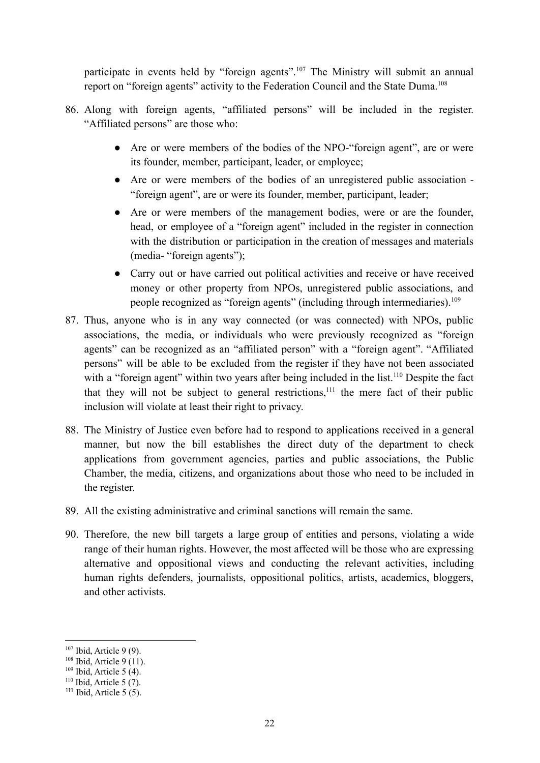participate in events held by "foreign agents".<sup>107</sup> The Ministry will submit an annual report on "foreign agents" activity to the Federation Council and the State Duma.<sup>108</sup>

- 86. Along with foreign agents, "affiliated persons" will be included in the register. "Affiliated persons" are those who:
	- Are or were members of the bodies of the NPO-"foreign agent", are or were its founder, member, participant, leader, or employee;
	- Are or were members of the bodies of an unregistered public association "foreign agent", are or were its founder, member, participant, leader;
	- Are or were members of the management bodies, were or are the founder, head, or employee of a "foreign agent" included in the register in connection with the distribution or participation in the creation of messages and materials (media- "foreign agents");
	- Carry out or have carried out political activities and receive or have received money or other property from NPOs, unregistered public associations, and people recognized as "foreign agents" (including through intermediaries).<sup>109</sup>
- 87. Thus, anyone who is in any way connected (or was connected) with NPOs, public associations, the media, or individuals who were previously recognized as "foreign agents" can be recognized as an "affiliated person" with a "foreign agent". "Affiliated persons" will be able to be excluded from the register if they have not been associated with a "foreign agent" within two years after being included in the list.<sup>110</sup> Despite the fact that they will not be subject to general restrictions,<sup>111</sup> the mere fact of their public inclusion will violate at least their right to privacy.
- 88. The Ministry of Justice even before had to respond to applications received in a general manner, but now the bill establishes the direct duty of the department to check applications from government agencies, parties and public associations, the Public Chamber, the media, citizens, and organizations about those who need to be included in the register.
- 89. All the existing administrative and criminal sanctions will remain the same.
- 90. Therefore, the new bill targets a large group of entities and persons, violating a wide range of their human rights. However, the most affected will be those who are expressing alternative and oppositional views and conducting the relevant activities, including human rights defenders, journalists, oppositional politics, artists, academics, bloggers, and other activists.

 $107$  Ibid, Article 9 (9).

 $108$  Ibid, Article 9 (11).

 $109$  Ibid, Article 5 (4).

 $110$  Ibid, Article 5 (7).

 $111$  Ibid, Article 5 (5).